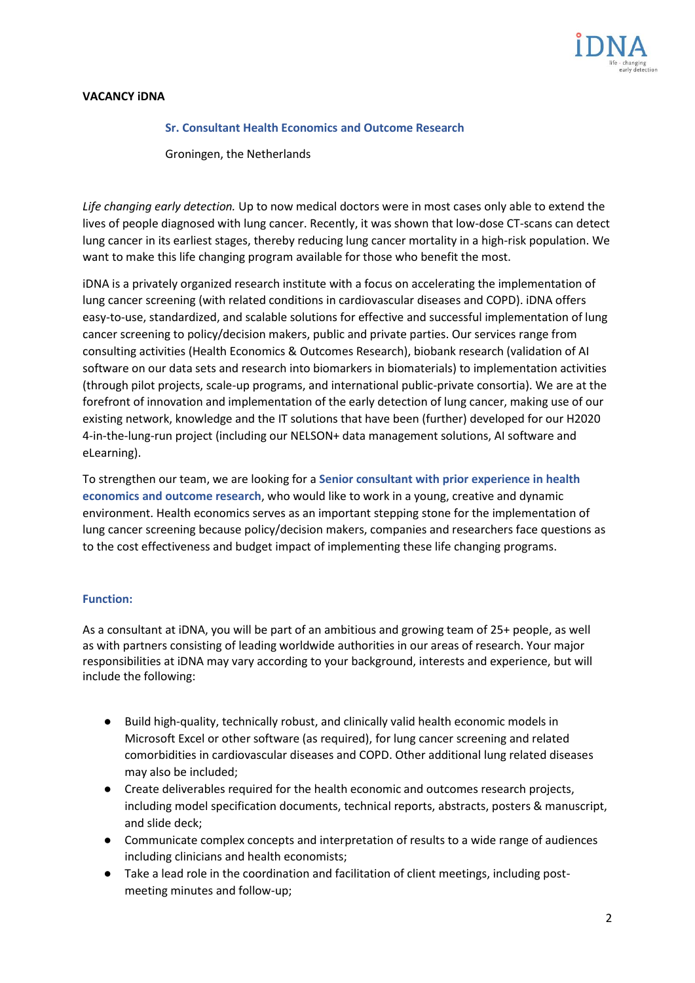

## **VACANCY iDNA**

#### **Sr. Consultant Health Economics and Outcome Research**

Groningen, the Netherlands

*Life changing early detection.* Up to now medical doctors were in most cases only able to extend the lives of people diagnosed with lung cancer. Recently, it was shown that low-dose CT-scans can detect lung cancer in its earliest stages, thereby reducing lung cancer mortality in a high-risk population. We want to make this life changing program available for those who benefit the most.

iDNA is a privately organized research institute with a focus on accelerating the implementation of lung cancer screening (with related conditions in cardiovascular diseases and COPD). iDNA offers easy-to-use, standardized, and scalable solutions for effective and successful implementation of lung cancer screening to policy/decision makers, public and private parties. Our services range from consulting activities (Health Economics & Outcomes Research), biobank research (validation of AI software on our data sets and research into biomarkers in biomaterials) to implementation activities (through pilot projects, scale-up programs, and international public-private consortia). We are at the forefront of innovation and implementation of the early detection of lung cancer, making use of our existing network, knowledge and the IT solutions that have been (further) developed for our H2020 4-in-the-lung-run project (including our NELSON+ data management solutions, AI software and eLearning).

To strengthen our team, we are looking for a **Senior consultant with prior experience in health economics and outcome research**, who would like to work in a young, creative and dynamic environment. Health economics serves as an important stepping stone for the implementation of lung cancer screening because policy/decision makers, companies and researchers face questions as to the cost effectiveness and budget impact of implementing these life changing programs.

#### **Function:**

As a consultant at iDNA, you will be part of an ambitious and growing team of 25+ people, as well as with partners consisting of leading worldwide authorities in our areas of research. Your major responsibilities at iDNA may vary according to your background, interests and experience, but will include the following:

- Build high-quality, technically robust, and clinically valid health economic models in Microsoft Excel or other software (as required), for lung cancer screening and related comorbidities in cardiovascular diseases and COPD. Other additional lung related diseases may also be included;
- Create deliverables required for the health economic and outcomes research projects, including model specification documents, technical reports, abstracts, posters & manuscript, and slide deck;
- Communicate complex concepts and interpretation of results to a wide range of audiences including clinicians and health economists;
- Take a lead role in the coordination and facilitation of client meetings, including postmeeting minutes and follow-up;